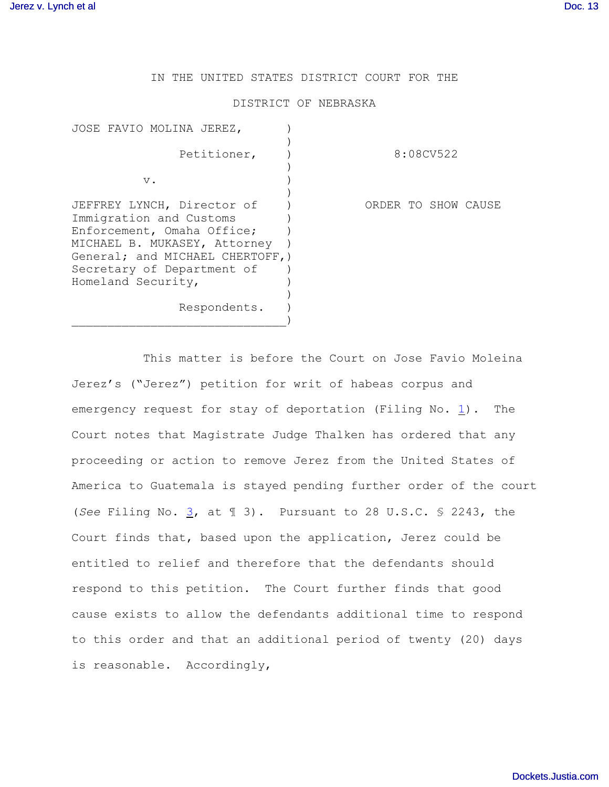IN THE UNITED STATES DISTRICT COURT FOR THE

## DISTRICT OF NEBRASKA

| JOSE FAVIO MOLINA JEREZ,                                                                                                                                                                                    |                     |
|-------------------------------------------------------------------------------------------------------------------------------------------------------------------------------------------------------------|---------------------|
| Petitioner,                                                                                                                                                                                                 | 8:08CV522           |
| $V$ .                                                                                                                                                                                                       |                     |
| JEFFREY LYNCH, Director of<br>Immigration and Customs<br>Enforcement, Omaha Office;<br>MICHAEL B. MUKASEY, Attorney<br>General; and MICHAEL CHERTOFF, )<br>Secretary of Department of<br>Homeland Security, | ORDER TO SHOW CAUSE |
| Respondents.                                                                                                                                                                                                |                     |

This matter is before the Court on Jose Favio Moleina Jerez's ("Jerez") petition for writ of habeas corpus and emergency request for stay of deportation (Filing No. [1](http://ecf.ned.uscourts.gov/doc1/11301605832)). The Court notes that Magistrate Judge Thalken has ordered that any proceeding or action to remove Jerez from the United States of America to Guatemala is stayed pending further order of the court (*See* Filing No. [3](http://ecf.ned.uscourts.gov/doc1/11301606030), at ¶ 3). Pursuant to 28 U.S.C. § 2243, the Court finds that, based upon the application, Jerez could be entitled to relief and therefore that the defendants should respond to this petition. The Court further finds that good cause exists to allow the defendants additional time to respond to this order and that an additional period of twenty (20) days is reasonable. Accordingly,